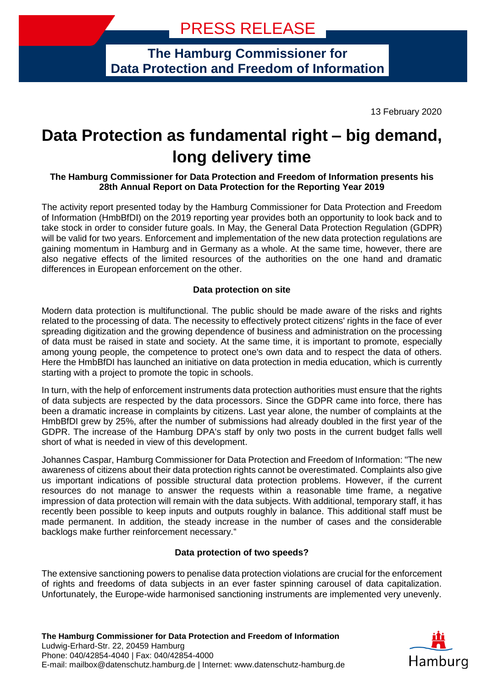**The Hamburg Commissioner for Data Protection and Freedom of Information**

13 February 2020

# **Data Protection as fundamental right – big demand, long delivery time**

# **The Hamburg Commissioner for Data Protection and Freedom of Information presents his 28th Annual Report on Data Protection for the Reporting Year 2019**

The activity report presented today by the Hamburg Commissioner for Data Protection and Freedom of Information (HmbBfDI) on the 2019 reporting year provides both an opportunity to look back and to take stock in order to consider future goals. In May, the General Data Protection Regulation (GDPR) will be valid for two years. Enforcement and implementation of the new data protection regulations are gaining momentum in Hamburg and in Germany as a whole. At the same time, however, there are also negative effects of the limited resources of the authorities on the one hand and dramatic differences in European enforcement on the other.

# **Data protection on site**

Modern data protection is multifunctional. The public should be made aware of the risks and rights related to the processing of data. The necessity to effectively protect citizens' rights in the face of ever spreading digitization and the growing dependence of business and administration on the processing of data must be raised in state and society. At the same time, it is important to promote, especially among young people, the competence to protect one's own data and to respect the data of others. Here the HmbBfDI has launched an initiative on data protection in media education, which is currently starting with a project to promote the topic in schools.

In turn, with the help of enforcement instruments data protection authorities must ensure that the rights of data subjects are respected by the data processors. Since the GDPR came into force, there has been a dramatic increase in complaints by citizens. Last year alone, the number of complaints at the HmbBfDI grew by 25%, after the number of submissions had already doubled in the first year of the GDPR. The increase of the Hamburg DPA's staff by only two posts in the current budget falls well short of what is needed in view of this development.

Johannes Caspar, Hamburg Commissioner for Data Protection and Freedom of Information: "The new awareness of citizens about their data protection rights cannot be overestimated. Complaints also give us important indications of possible structural data protection problems. However, if the current resources do not manage to answer the requests within a reasonable time frame, a negative impression of data protection will remain with the data subjects. With additional, temporary staff, it has recently been possible to keep inputs and outputs roughly in balance. This additional staff must be made permanent. In addition, the steady increase in the number of cases and the considerable backlogs make further reinforcement necessary."

### **Data protection of two speeds?**

The extensive sanctioning powers to penalise data protection violations are crucial for the enforcement of rights and freedoms of data subjects in an ever faster spinning carousel of data capitalization. Unfortunately, the Europe-wide harmonised sanctioning instruments are implemented very unevenly.